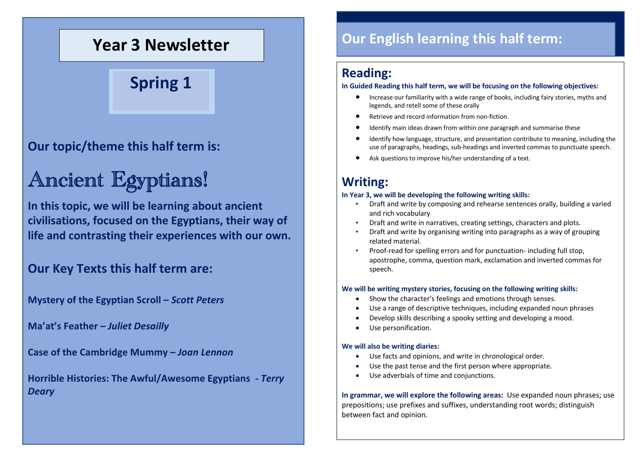## **Year 3 Newsletter**

**Spring 1**

### **Our topic/theme this half term is:**

# Ancient Egyptians!

**In this topic, we will be learning about ancient civilisations, focused on the Egyptians, their way of life and contrasting their experiences with our own.**

### **Our Key Texts this half term are:**

**Mystery of the Egyptian Scroll –** *Scott Peters*

**Ma'at's Feather –** *Juliet Desailly*

**Case of the Cambridge Mummy –** *Joan Lennon*

**Horrible Histories: The Awful/Awesome Egyptians -** *Terry Deary*

### **Our English learning this half term:**

#### **Reading:**

#### **In Guided Reading this half term, we will be focusing on the following objectives:**

- Increase our familiarity with a wide range of books, including fairy stories, myths and legends, and retell some of these orally
- Retrieve and record information from non-fiction.
- Identify main ideas drawn from within one paragraph and summarise these
- Identify how language, structure, and presentation contribute to meaning, including the use of paragraphs, headings, sub-headings and inverted commas to punctuate speech.
- Ask questions to improve his/her understanding of a text.

### **Writing:**

#### **In Year 3, we will be developing the following writing skills:**

- Draft and write by composing and rehearse sentences orally, building a varied and rich vocabulary
- Draft and write in narratives, creating settings, characters and plots.
- Draft and write by organising writing into paragraphs as a way of grouping related material.
- Proof-read for spelling errors and for punctuation- including full stop, apostrophe, comma, question mark, exclamation and inverted commas for speech.

#### **We will be writing mystery stories, focusing on the following writing skills:**

- Show the character's feelings and emotions through senses.
- Use a range of descriptive techniques, including expanded noun phrases
- Develop skills describing a spooky setting and developing a mood.
- Use personification.

#### **We will also be writing diaries:**

- Use facts and opinions, and write in chronological order.
- Use the past tense and the first person where appropriate.
- Use adverbials of time and conjunctions.

**In grammar, we will explore the following areas:** Use expanded noun phrases; use prepositions; use prefixes and suffixes, understanding root words; distinguish between fact and opinion.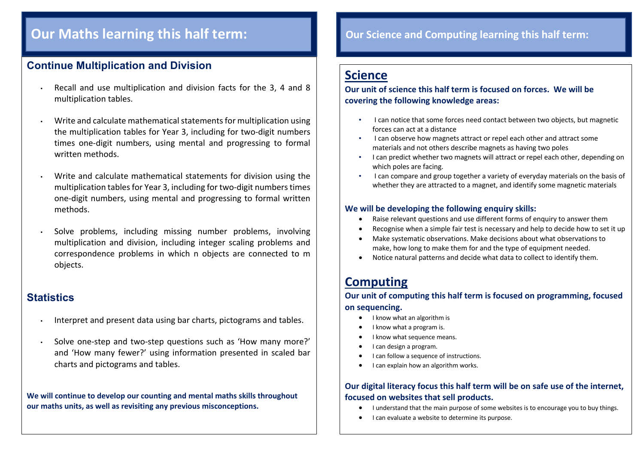### **Our Maths learning this half term:**

#### **Continue Multiplication and Division**

- Recall and use multiplication and division facts for the 3, 4 and 8 multiplication tables.
- Write and calculate mathematical statements for multiplication using the multiplication tables for Year 3, including for two-digit numbers times one-digit numbers, using mental and progressing to formal written methods.
- Write and calculate mathematical statements for division using the multiplication tables for Year 3, including for two-digit numbers times one-digit numbers, using mental and progressing to formal written methods.
- Solve problems, including missing number problems, involving multiplication and division, including integer scaling problems and correspondence problems in which n objects are connected to m objects.

#### **Statistics**

- Interpret and present data using bar charts, pictograms and tables.
- Solve one-step and two-step questions such as 'How many more?' and 'How many fewer?' using information presented in scaled bar charts and pictograms and tables.

**We will continue to develop our counting and mental maths skills throughout our maths units, as well as revisiting any previous misconceptions.**

### **Our Science and Computing learning this half term:**

### **Science**

#### **Our unit of science this half term is focused on forces. We will be covering the following knowledge areas:**

- I can notice that some forces need contact between two objects, but magnetic forces can act at a distance
- I can observe how magnets attract or repel each other and attract some materials and not others describe magnets as having two poles
- I can predict whether two magnets will attract or repel each other, depending on which poles are facing.
- I can compare and group together a variety of everyday materials on the basis of whether they are attracted to a magnet, and identify some magnetic materials

#### **We will be developing the following enquiry skills:**

- Raise relevant questions and use different forms of enquiry to answer them
- Recognise when a simple fair test is necessary and help to decide how to set it up
- Make systematic observations. Make decisions about what observations to make, how long to make them for and the type of equipment needed.
- Notice natural patterns and decide what data to collect to identify them.

### **Computing**

**Our unit of computing this half term is focused on programming, focused on sequencing.**

- I know what an algorithm is
- I know what a program is.
- I know what sequence means.
- I can design a program.
- I can follow a sequence of instructions.
- I can explain how an algorithm works.

#### **Our digital literacy focus this half term will be on safe use of the internet, focused on websites that sell products.**

- I understand that the main purpose of some websites is to encourage you to buy things.
- I can evaluate a website to determine its purpose.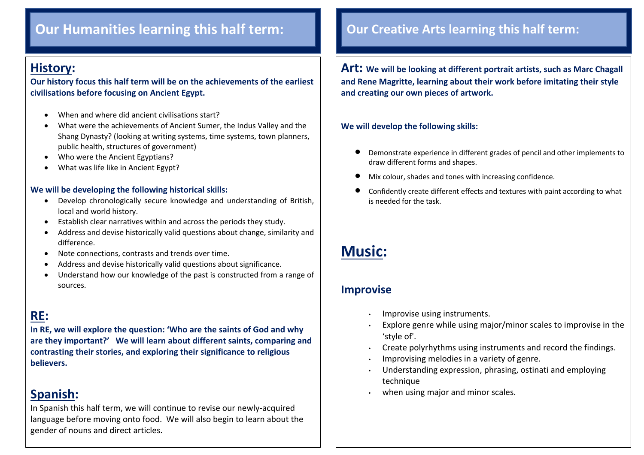### **Our Humanities learning this half term: Our Creative Arts learning this half term:**

### **History:**

 $\overline{\phantom{a}}$ 

**Our history focus this half term will be on the achievements of the earliest civilisations before focusing on Ancient Egypt.**

- When and where did ancient civilisations start?
- What were the achievements of Ancient Sumer, the Indus Valley and the Shang Dynasty? (looking at writing systems, time systems, town planners, public health, structures of government)
- Who were the Ancient Egyptians?
- What was life like in Ancient Egypt?

#### **We will be developing the following historical skills:**

- Develop chronologically secure knowledge and understanding of British, local and world history.
- Establish clear narratives within and across the periods they study.
- Address and devise historically valid questions about change, similarity and difference.
- Note connections, contrasts and trends over time.
- Address and devise historically valid questions about significance.
- Understand how our knowledge of the past is constructed from a range of sources.

### **RE:**

**In RE, we will explore the question: 'Who are the saints of God and why are they important?' We will learn about different saints, comparing and contrasting their stories, and exploring their significance to religious believers.**

### **Spanish:**

In Spanish this half term, we will continue to revise our newly-acquired language before moving onto food. We will also begin to learn about the gender of nouns and direct articles.

**Art: We will be looking at different portrait artists, such as Marc Chagall and Rene Magritte, learning about their work before imitating their style and creating our own pieces of artwork.**

#### **We will develop the following skills:**

- Demonstrate experience in different grades of pencil and other implements to draw different forms and shapes.
- Mix colour, shades and tones with increasing confidence.
- Confidently create different effects and textures with paint according to what is needed for the task.

### **Music:**

#### **Improvise**

- Improvise using instruments.
- Explore genre while using major/minor scales to improvise in the 'style of'.
- Create polyrhythms using instruments and record the findings.
- Improvising melodies in a variety of genre.
- Understanding expression, phrasing, ostinati and employing technique
- when using major and minor scales.